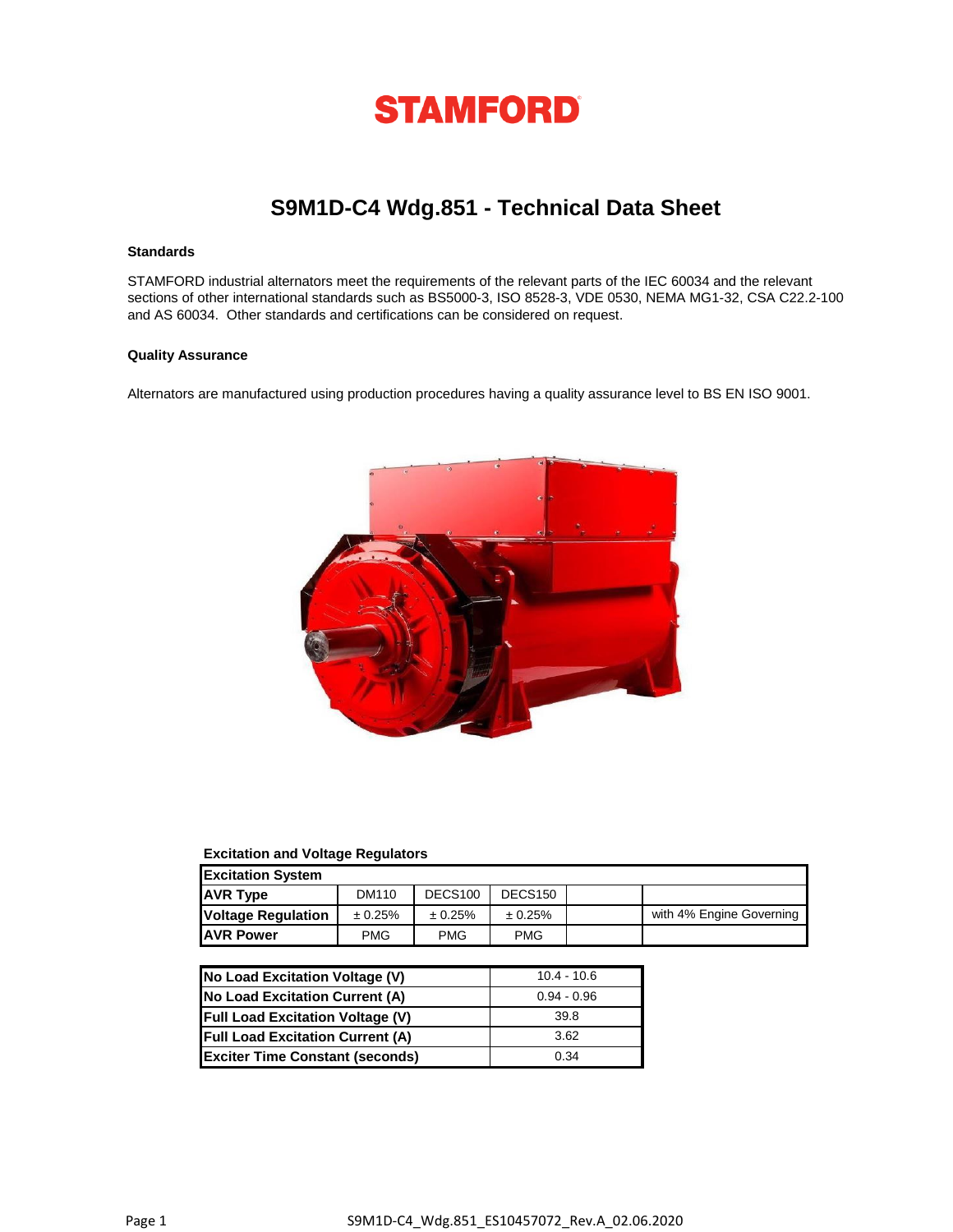

# **S9M1D-C4 Wdg.851 - Technical Data Sheet**

## **Standards**

STAMFORD industrial alternators meet the requirements of the relevant parts of the IEC 60034 and the relevant sections of other international standards such as BS5000-3, ISO 8528-3, VDE 0530, NEMA MG1-32, CSA C22.2-100 and AS 60034. Other standards and certifications can be considered on request.

### **Quality Assurance**

Alternators are manufactured using production procedures having a quality assurance level to BS EN ISO 9001.



## **Excitation and Voltage Regulators**

| <b>Excitation System</b>  |            |                     |                     |  |                          |  |
|---------------------------|------------|---------------------|---------------------|--|--------------------------|--|
| <b>AVR Type</b>           | DM110      | DECS <sub>100</sub> | DECS <sub>150</sub> |  |                          |  |
| <b>Voltage Regulation</b> | ± 0.25%    | ± 0.25%             | ± 0.25%             |  | with 4% Engine Governing |  |
| <b>JAVR Power</b>         | <b>PMG</b> | <b>PMG</b>          | <b>PMG</b>          |  |                          |  |

| No Load Excitation Voltage (V)          | $10.4 - 10.6$ |
|-----------------------------------------|---------------|
| No Load Excitation Current (A)          | $0.94 - 0.96$ |
| <b>Full Load Excitation Voltage (V)</b> | 39.8          |
| <b>Full Load Excitation Current (A)</b> | 3.62          |
| <b>Exciter Time Constant (seconds)</b>  | 0.34          |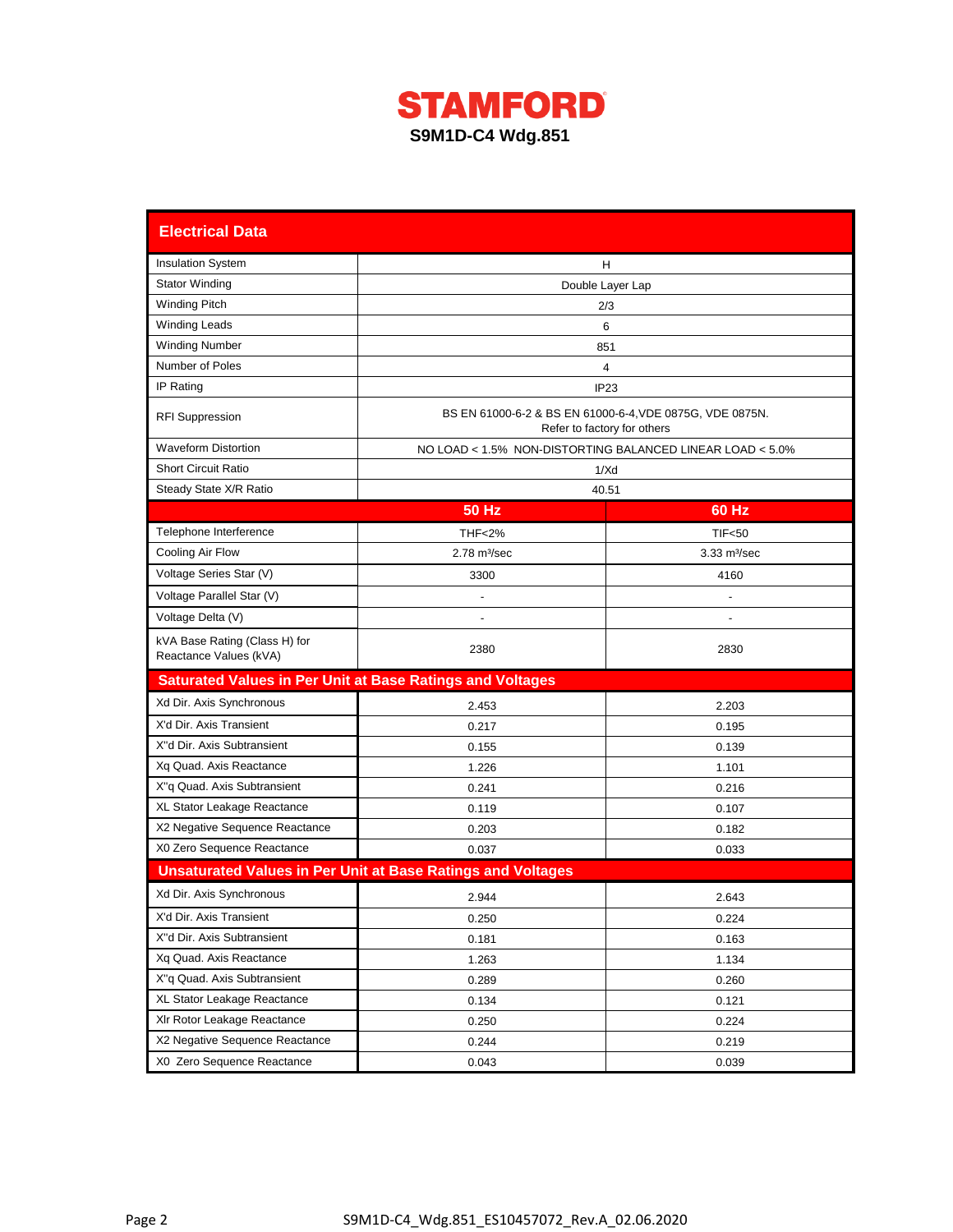

| <b>Electrical Data</b>                                           |                                                                    |                                                                                         |  |  |  |  |
|------------------------------------------------------------------|--------------------------------------------------------------------|-----------------------------------------------------------------------------------------|--|--|--|--|
| <b>Insulation System</b>                                         |                                                                    | Н                                                                                       |  |  |  |  |
| <b>Stator Winding</b>                                            | Double Layer Lap                                                   |                                                                                         |  |  |  |  |
| <b>Winding Pitch</b>                                             |                                                                    | 2/3                                                                                     |  |  |  |  |
| <b>Winding Leads</b>                                             |                                                                    | 6                                                                                       |  |  |  |  |
| <b>Winding Number</b>                                            |                                                                    | 851                                                                                     |  |  |  |  |
| Number of Poles                                                  |                                                                    | 4                                                                                       |  |  |  |  |
| IP Rating                                                        |                                                                    | IP <sub>23</sub>                                                                        |  |  |  |  |
| <b>RFI Suppression</b>                                           |                                                                    | BS EN 61000-6-2 & BS EN 61000-6-4, VDE 0875G, VDE 0875N.<br>Refer to factory for others |  |  |  |  |
| <b>Waveform Distortion</b>                                       |                                                                    | NO LOAD < 1.5% NON-DISTORTING BALANCED LINEAR LOAD < 5.0%                               |  |  |  |  |
| <b>Short Circuit Ratio</b>                                       |                                                                    | 1/Xd                                                                                    |  |  |  |  |
| Steady State X/R Ratio                                           |                                                                    | 40.51                                                                                   |  |  |  |  |
|                                                                  | 50 Hz                                                              | 60 Hz                                                                                   |  |  |  |  |
| Telephone Interference                                           | <b>THF&lt;2%</b>                                                   | <b>TIF&lt;50</b>                                                                        |  |  |  |  |
| Cooling Air Flow                                                 | $2.78$ m $\frac{3}{sec}$                                           | $3.33 \text{ m}^3/\text{sec}$                                                           |  |  |  |  |
| Voltage Series Star (V)                                          | 3300                                                               | 4160                                                                                    |  |  |  |  |
| Voltage Parallel Star (V)                                        |                                                                    |                                                                                         |  |  |  |  |
| Voltage Delta (V)                                                |                                                                    |                                                                                         |  |  |  |  |
| kVA Base Rating (Class H) for<br>Reactance Values (kVA)          | 2380                                                               | 2830                                                                                    |  |  |  |  |
| <b>Saturated Values in Per Unit at Base Ratings and Voltages</b> |                                                                    |                                                                                         |  |  |  |  |
| Xd Dir. Axis Synchronous                                         | 2.453                                                              | 2.203                                                                                   |  |  |  |  |
| X'd Dir. Axis Transient                                          | 0.217                                                              | 0.195                                                                                   |  |  |  |  |
| X"d Dir. Axis Subtransient                                       | 0.155                                                              | 0.139                                                                                   |  |  |  |  |
| Xq Quad. Axis Reactance                                          | 1.226                                                              | 1.101                                                                                   |  |  |  |  |
| X"q Quad. Axis Subtransient                                      | 0.241                                                              | 0.216                                                                                   |  |  |  |  |
| XL Stator Leakage Reactance                                      | 0.119                                                              | 0.107                                                                                   |  |  |  |  |
| X2 Negative Sequence Reactance                                   | 0.203                                                              | 0.182                                                                                   |  |  |  |  |
| X0 Zero Sequence Reactance                                       | 0.037                                                              | 0.033                                                                                   |  |  |  |  |
|                                                                  | <b>Unsaturated Values in Per Unit at Base Ratings and Voltages</b> |                                                                                         |  |  |  |  |
| Xd Dir. Axis Synchronous                                         | 2.944                                                              | 2.643                                                                                   |  |  |  |  |
| X'd Dir. Axis Transient                                          | 0.250                                                              | 0.224                                                                                   |  |  |  |  |
| X"d Dir. Axis Subtransient                                       | 0.181                                                              | 0.163                                                                                   |  |  |  |  |
| Xq Quad. Axis Reactance                                          | 1.263                                                              | 1.134                                                                                   |  |  |  |  |
| X"q Quad. Axis Subtransient                                      | 0.289                                                              | 0.260                                                                                   |  |  |  |  |
| XL Stator Leakage Reactance                                      | 0.134                                                              | 0.121                                                                                   |  |  |  |  |
| XIr Rotor Leakage Reactance                                      | 0.250                                                              | 0.224                                                                                   |  |  |  |  |
| X2 Negative Sequence Reactance                                   | 0.244                                                              | 0.219                                                                                   |  |  |  |  |
| X0 Zero Sequence Reactance                                       | 0.043                                                              | 0.039                                                                                   |  |  |  |  |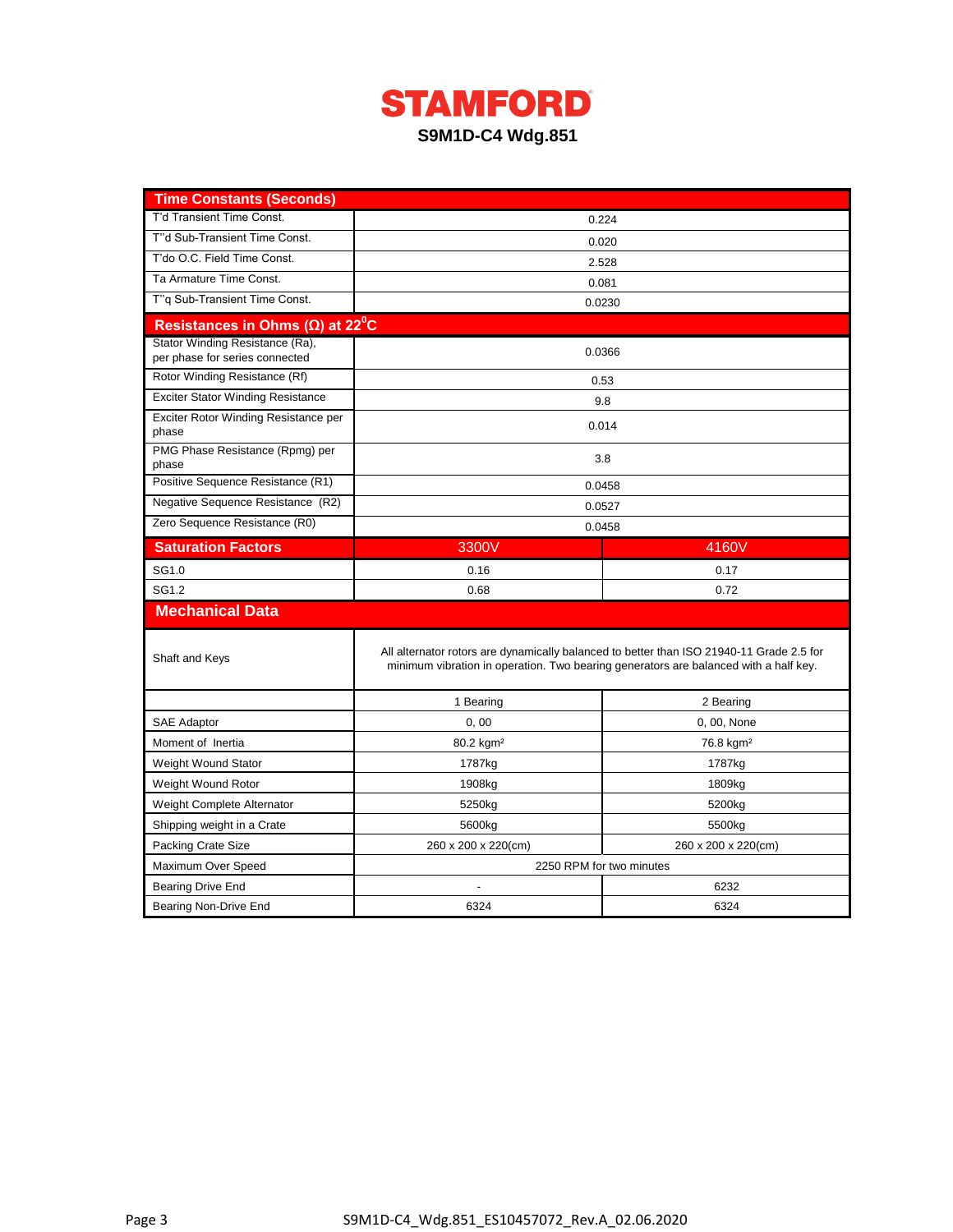

| <b>Time Constants (Seconds)</b>                                   |                                                                                          |                                                                                      |  |  |  |
|-------------------------------------------------------------------|------------------------------------------------------------------------------------------|--------------------------------------------------------------------------------------|--|--|--|
| T'd Transient Time Const.                                         |                                                                                          | 0.224                                                                                |  |  |  |
| T"d Sub-Transient Time Const.                                     | 0.020                                                                                    |                                                                                      |  |  |  |
| T'do O.C. Field Time Const.                                       | 2.528                                                                                    |                                                                                      |  |  |  |
| Ta Armature Time Const.                                           | 0.081                                                                                    |                                                                                      |  |  |  |
| T"q Sub-Transient Time Const.                                     | 0.0230                                                                                   |                                                                                      |  |  |  |
| Resistances in Ohms ( $\Omega$ ) at 22 <sup>°</sup> C             |                                                                                          |                                                                                      |  |  |  |
| Stator Winding Resistance (Ra),<br>per phase for series connected |                                                                                          | 0.0366                                                                               |  |  |  |
| Rotor Winding Resistance (Rf)                                     |                                                                                          | 0.53                                                                                 |  |  |  |
| <b>Exciter Stator Winding Resistance</b>                          |                                                                                          | 9.8                                                                                  |  |  |  |
| Exciter Rotor Winding Resistance per<br>phase                     |                                                                                          | 0.014                                                                                |  |  |  |
| PMG Phase Resistance (Rpmg) per<br>phase                          |                                                                                          | 3.8                                                                                  |  |  |  |
| Positive Sequence Resistance (R1)                                 |                                                                                          | 0.0458                                                                               |  |  |  |
| Negative Sequence Resistance (R2)                                 |                                                                                          | 0.0527                                                                               |  |  |  |
| Zero Sequence Resistance (R0)                                     |                                                                                          | 0.0458                                                                               |  |  |  |
| <b>Saturation Factors</b>                                         | 3300V                                                                                    | 4160V                                                                                |  |  |  |
| SG1.0                                                             | 0.16                                                                                     | 0.17                                                                                 |  |  |  |
| SG1.2                                                             | 0.68                                                                                     | 0.72                                                                                 |  |  |  |
| <b>Mechanical Data</b>                                            |                                                                                          |                                                                                      |  |  |  |
| Shaft and Keys                                                    | All alternator rotors are dynamically balanced to better than ISO 21940-11 Grade 2.5 for | minimum vibration in operation. Two bearing generators are balanced with a half key. |  |  |  |
|                                                                   | 1 Bearing                                                                                | 2 Bearing                                                                            |  |  |  |
| <b>SAE Adaptor</b>                                                | 0,00                                                                                     | 0, 00, None                                                                          |  |  |  |
| Moment of Inertia                                                 | 80.2 kgm <sup>2</sup>                                                                    | 76.8 kgm <sup>2</sup>                                                                |  |  |  |
| Weight Wound Stator                                               | 1787kg                                                                                   | 1787kg                                                                               |  |  |  |
| Weight Wound Rotor                                                | 1908kg                                                                                   | 1809kg                                                                               |  |  |  |
| Weight Complete Alternator                                        | 5250kg                                                                                   | 5200kg                                                                               |  |  |  |
| Shipping weight in a Crate                                        | 5600kg                                                                                   | 5500kg                                                                               |  |  |  |
| <b>Packing Crate Size</b>                                         | 260 x 200 x 220(cm)<br>260 x 200 x 220(cm)                                               |                                                                                      |  |  |  |
| Maximum Over Speed                                                | 2250 RPM for two minutes                                                                 |                                                                                      |  |  |  |
| <b>Bearing Drive End</b>                                          |                                                                                          | 6232                                                                                 |  |  |  |
| Bearing Non-Drive End                                             | 6324                                                                                     | 6324                                                                                 |  |  |  |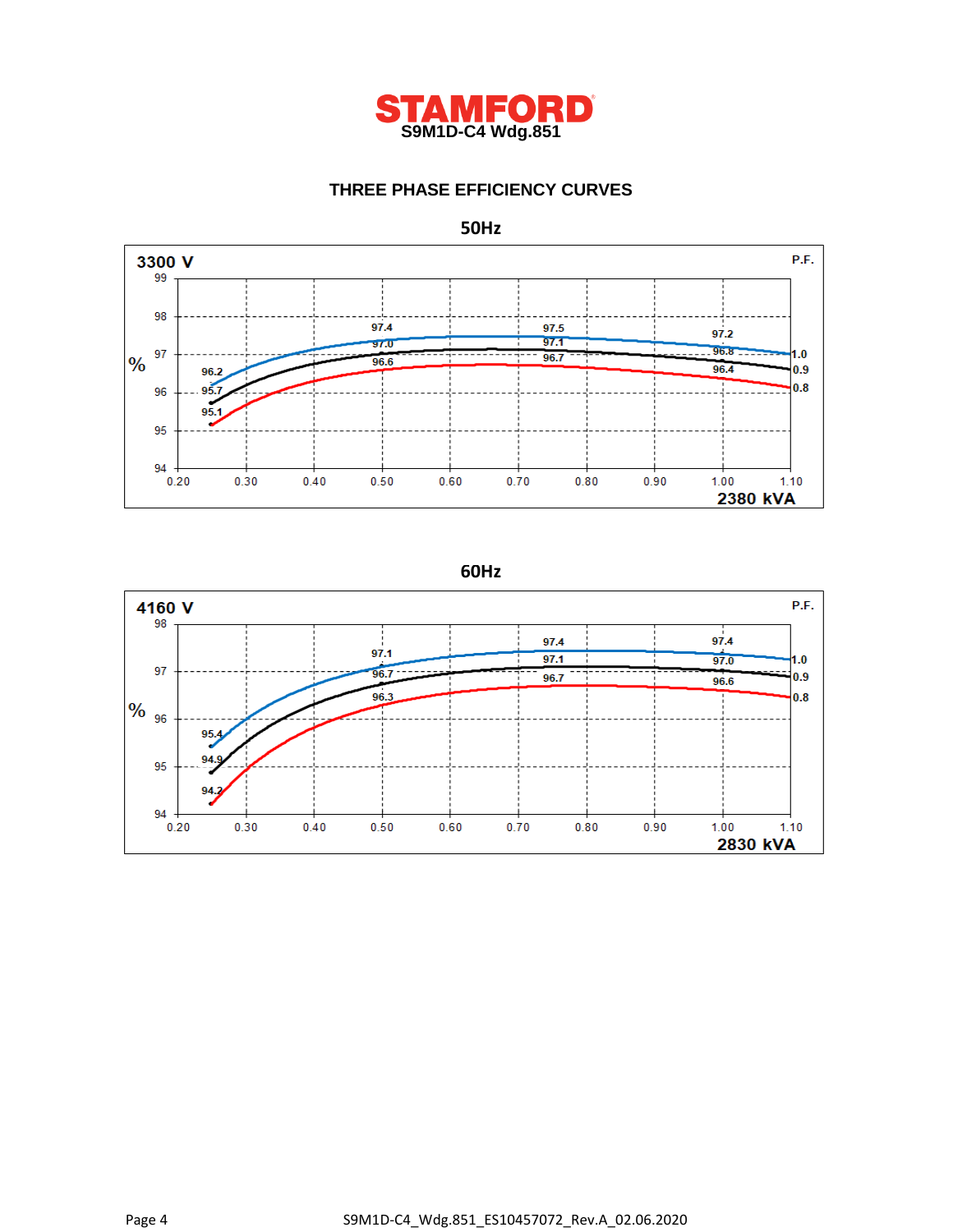

## **THREE PHASE EFFICIENCY CURVES**



**60Hz**

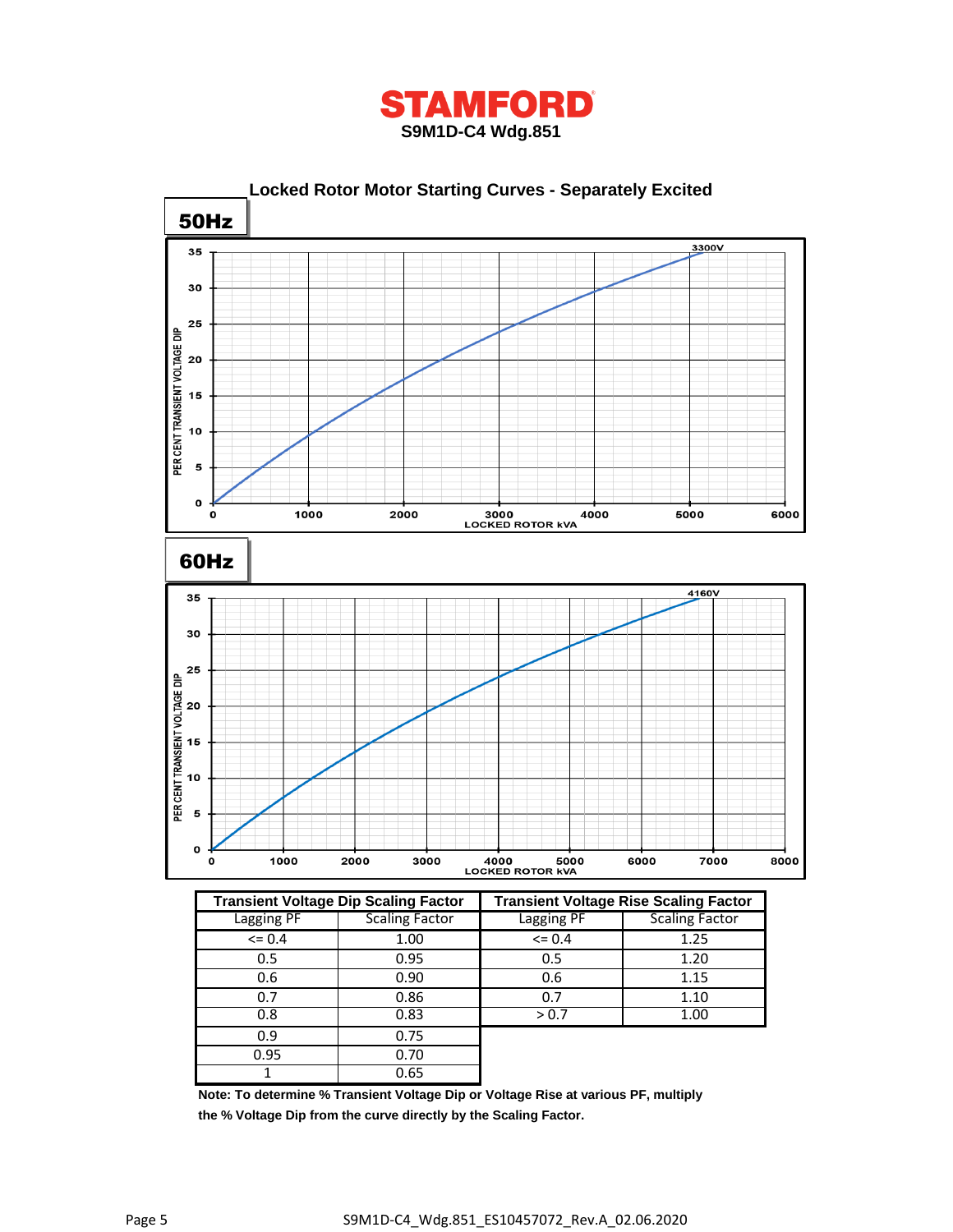



|             | <b>Transient Voltage Dip Scaling Factor</b> |            | <b>Transient Voltage Rise Scaling Factor</b> |
|-------------|---------------------------------------------|------------|----------------------------------------------|
| Lagging PF  | <b>Scaling Factor</b>                       | Lagging PF | <b>Scaling Factor</b>                        |
| $\leq 0.4$  | 1.00                                        | $= 0.4$    | 1.25                                         |
| 0.5         | 0.95                                        | 0.5        | 1.20                                         |
| 0.6         | 0.90                                        |            | 1.15                                         |
| 0.7         | 0.86                                        | 0.7        | 1.10                                         |
| 0.83<br>0.8 |                                             | > 0.7      | 1.00                                         |
| 0.9         | 0.75                                        |            |                                              |
| 0.95        | 0.70                                        |            |                                              |
|             | 0.65                                        |            |                                              |

**Note: To determine % Transient Voltage Dip or Voltage Rise at various PF, multiply the % Voltage Dip from the curve directly by the Scaling Factor.**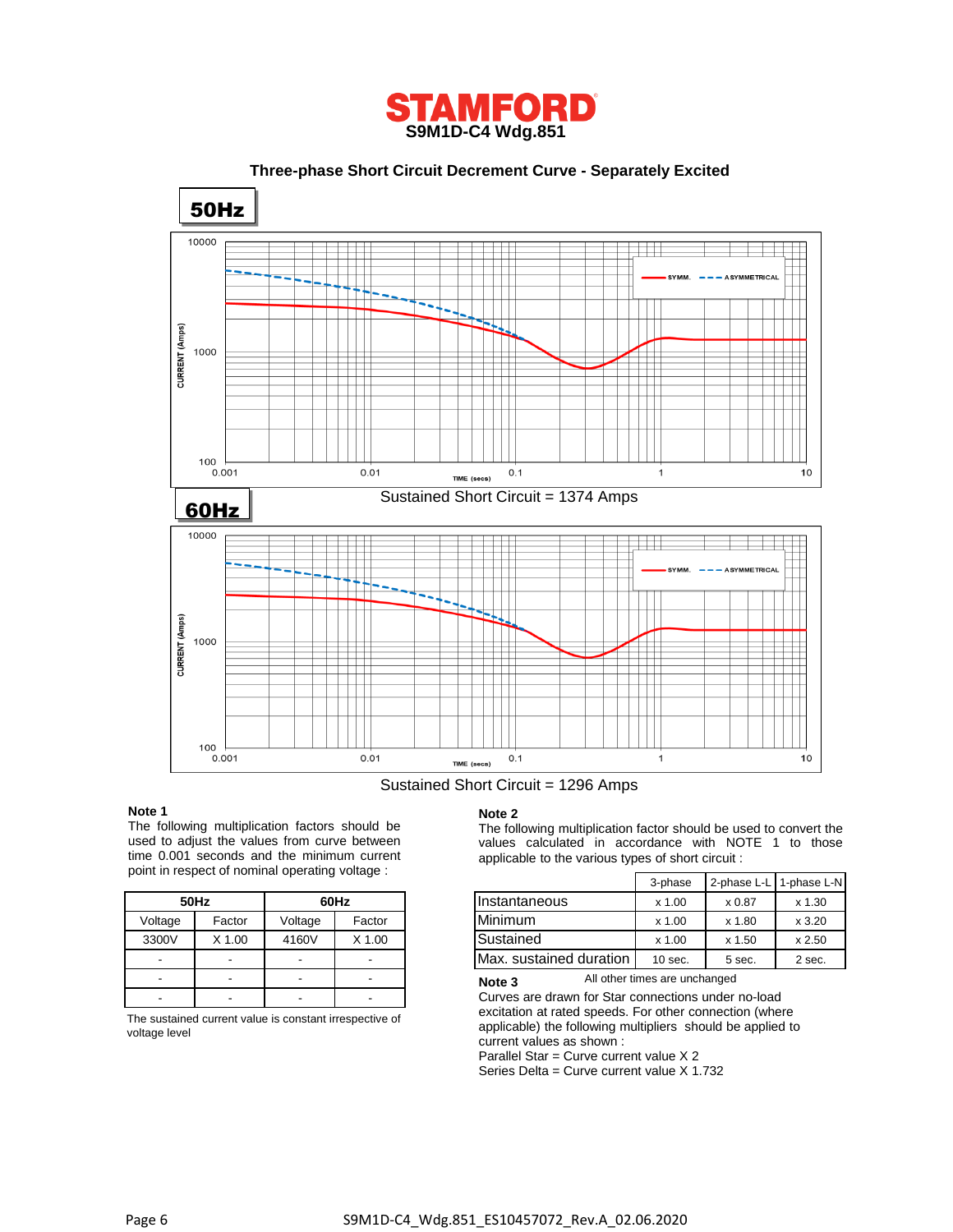

 **Three-phase Short Circuit Decrement Curve - Separately Excited** 50Hz 10000 CURRENT (Amps) 1000 100  $0.001$  $0.01$  $0.1$  $10$  $\mathbf{1}$ TIME (secs) Sustained Short Circuit = 1374 Amps 60Hz 10000 ta ta b CURRENT (Amps) 1000 100  $0.001$  $0.01$  $0.1$  $\overline{1}$ 10 TIME (secs)

### Sustained Short Circuit = 1296 Amps

#### **Note 1**

The following multiplication factors should be used to adjust the values from curve between time 0.001 seconds and the minimum current point in respect of nominal operating voltage :

|         | 50Hz   | 60Hz    |        |  |
|---------|--------|---------|--------|--|
| Voltage | Factor | Voltage | Factor |  |
| 3300V   | X 1.00 | 4160V   | X 1.00 |  |
|         |        |         |        |  |
|         |        |         |        |  |
|         |        |         |        |  |

The sustained current value is constant irrespective of voltage level

#### **Note 2**

The following multiplication factor should be used to convert the values calculated in accordance with NOTE 1 to those applicable to the various types of short circuit :

|         | $\frac{1}{10}$ is respect of Hoffinial operating voltage. |         |        |                         | 3-phase   | 2-phase L-L 1-phase L-N |          |
|---------|-----------------------------------------------------------|---------|--------|-------------------------|-----------|-------------------------|----------|
|         | 50Hz                                                      |         | 60Hz   | IInstantaneous          | x 1.00    | x 0.87                  | $x$ 1.30 |
| Voltage | Factor                                                    | Voltage | Factor | Minimum                 | x 1.00    | x 1.80                  | x3.20    |
| 3300V   | X 1.00                                                    | 4160V   | X 1.00 | Sustained               | x 1.00    | x 1.50                  | x 2.50   |
| -       | $\sim$                                                    |         |        | Max. sustained duration | $10$ sec. | 5 sec.                  | 2 sec.   |

All other times are unchanged **Note 3**

Curves are drawn for Star connections under no-load excitation at rated speeds. For other connection (where applicable) the following multipliers should be applied to current values as shown :

Parallel Star = Curve current value X 2

Series Delta = Curve current value X 1.732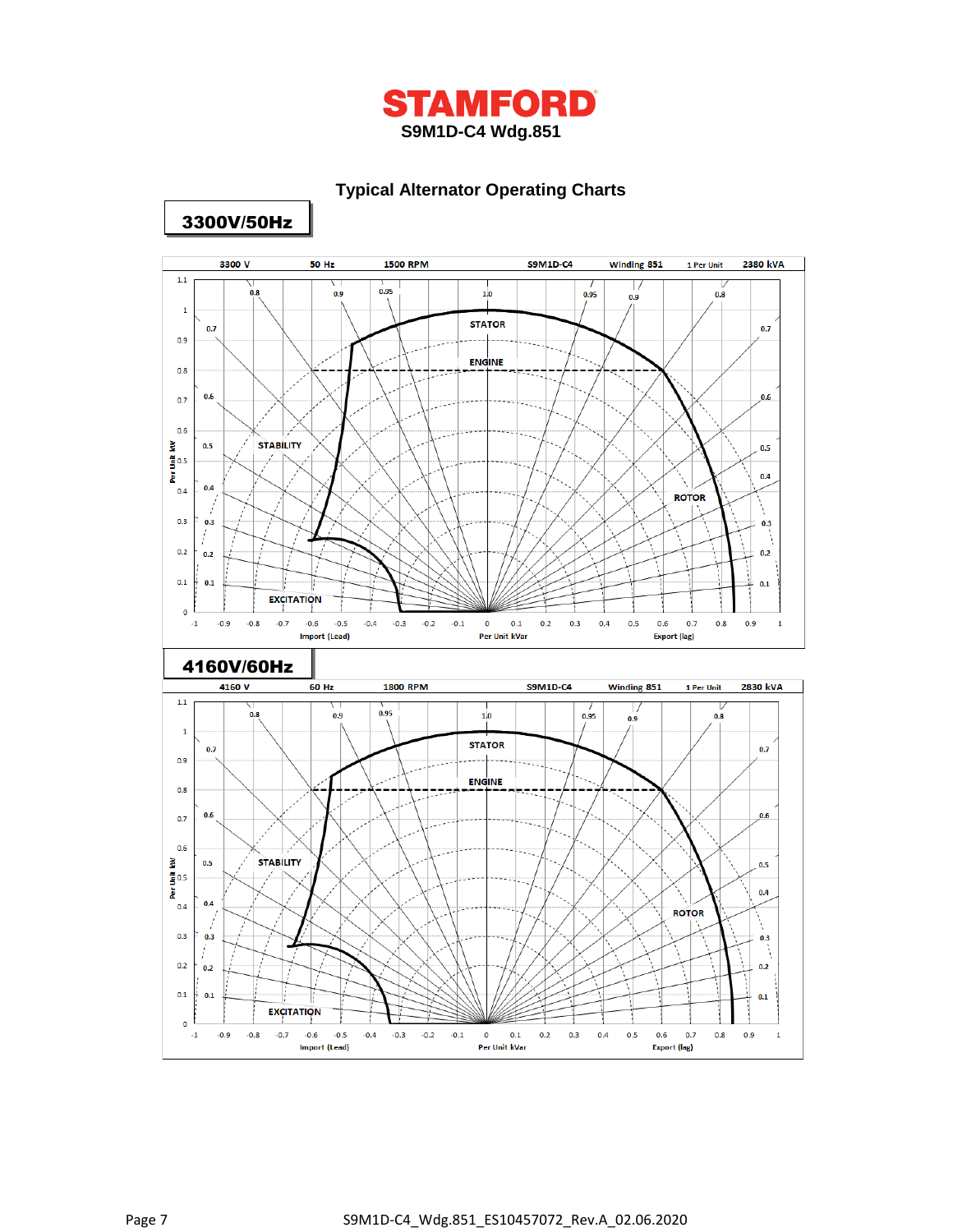

## **Typical Alternator Operating Charts**



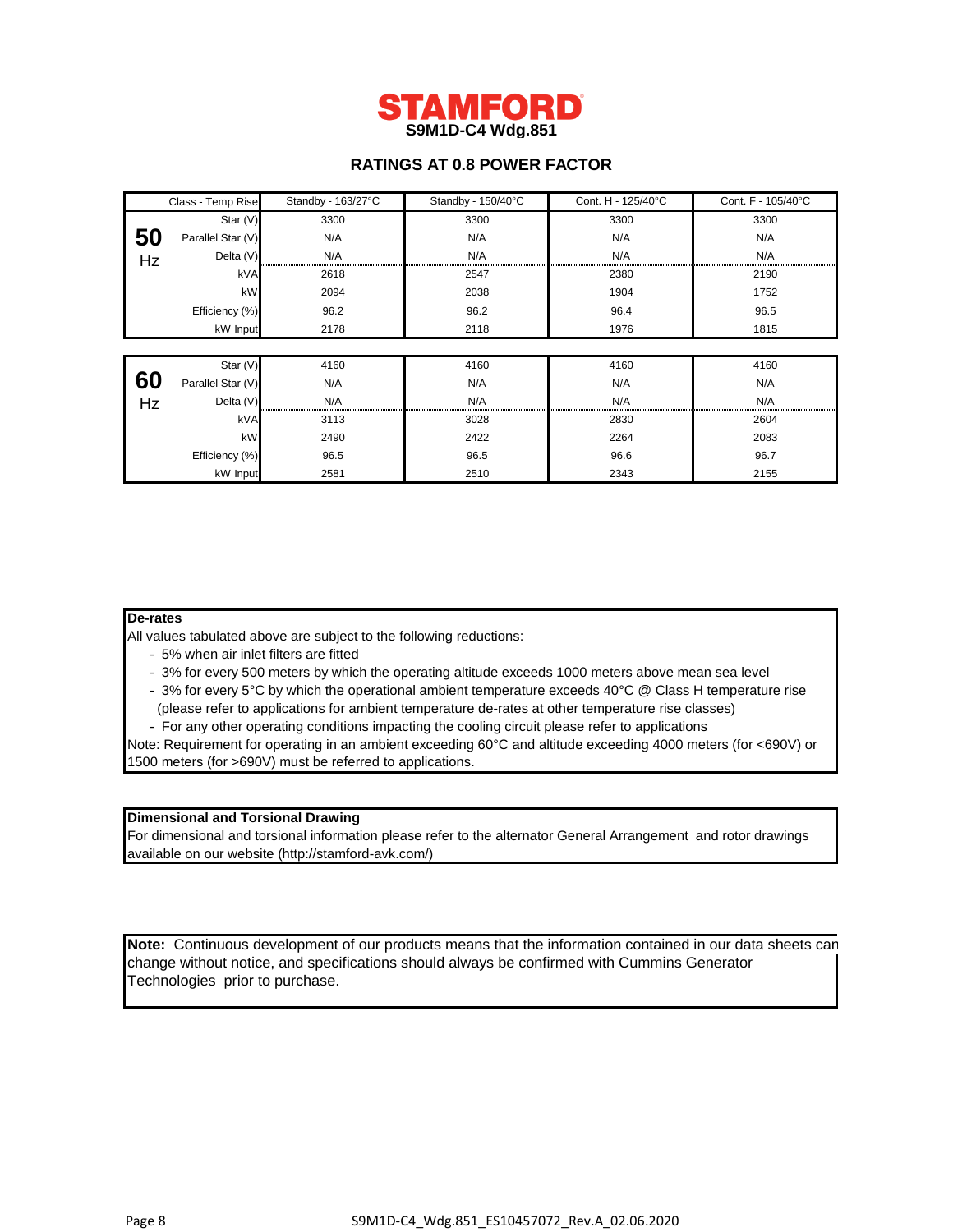

## **RATINGS AT 0.8 POWER FACTOR**

|    | Class - Temp Rise | Standby - 163/27°C | Standby - 150/40°C | Cont. H - 125/40°C | Cont. F - 105/40°C |
|----|-------------------|--------------------|--------------------|--------------------|--------------------|
|    | Star (V)          | 3300               | 3300               | 3300               | 3300               |
| 50 | Parallel Star (V) | N/A                | N/A                | N/A                | N/A                |
| Hz | Delta (V)         | N/A                | N/A                | N/A                | N/A                |
|    | kVA               | 2618               | 2547               | 2380               | 2190               |
|    | kW                | 2094               | 2038               | 1904               | 1752               |
|    | Efficiency (%)    | 96.2               | 96.2               | 96.4               | 96.5               |
|    | kW Input          | 2178               | 2118               | 1976               | 1815               |
|    |                   |                    |                    |                    |                    |
|    | Star (V)          | 4160               | 4160               | 4160               | 4160               |
| 60 | Parallel Star (V) | N/A                | N/A                | N/A                | N/A                |
| Hz | Delta (V)         | N/A                | N/A                | N/A                | N/A                |
|    | kVA               | 3113               | 3028               | 2830               | 2604               |
|    | kW                | 2490               | 2422               | 2264               | 2083               |
|    | Efficiency (%)    | 96.5               | 96.5               | 96.6               | 96.7               |
|    | kW Input          | 2581               | 2510               | 2343               | 2155               |

## **De-rates**

All values tabulated above are subject to the following reductions:

- 5% when air inlet filters are fitted
- 3% for every 500 meters by which the operating altitude exceeds 1000 meters above mean sea level
- 3% for every 5°C by which the operational ambient temperature exceeds 40°C @ Class H temperature rise (please refer to applications for ambient temperature de-rates at other temperature rise classes)
- For any other operating conditions impacting the cooling circuit please refer to applications

Note: Requirement for operating in an ambient exceeding 60°C and altitude exceeding 4000 meters (for <690V) or 1500 meters (for >690V) must be referred to applications.

## **Dimensional and Torsional Drawing**

For dimensional and torsional information please refer to the alternator General Arrangement and rotor drawings available on our website (http://stamford-avk.com/)

**Note:** Continuous development of our products means that the information contained in our data sheets can change without notice, and specifications should always be confirmed with Cummins Generator Technologies prior to purchase.